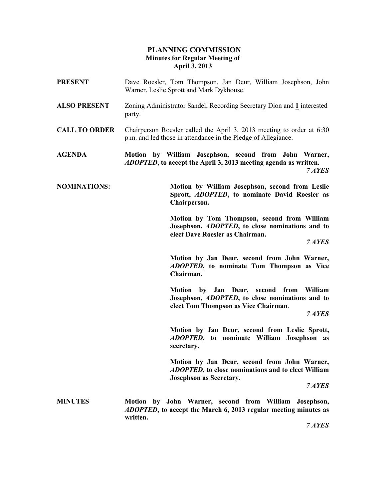# PLANNING COMMISSION Minutes for Regular Meeting of April 3, 2013

- PRESENT Dave Roesler, Tom Thompson, Jan Deur, William Josephson, John Warner, Leslie Sprott and Mark Dykhouse.
- ALSO PRESENT Zoning Administrator Sandel, Recording Secretary Dion and 1 interested party.
- CALL TO ORDER Chairperson Roesler called the April 3, 2013 meeting to order at 6:30 p.m. and led those in attendance in the Pledge of Allegiance.
- AGENDA Motion by William Josephson, second from John Warner, ADOPTED, to accept the April 3, 2013 meeting agenda as written.

7 AYES

NOMINATIONS: Motion by William Josephson, second from Leslie Sprott, ADOPTED, to nominate David Roesler as Chairperson.

> Motion by Tom Thompson, second from William Josephson, ADOPTED, to close nominations and to elect Dave Roesler as Chairman.

> > 7 AYES

Motion by Jan Deur, second from John Warner, ADOPTED, to nominate Tom Thompson as Vice Chairman.

Motion by Jan Deur, second from William Josephson, ADOPTED, to close nominations and to elect Tom Thompson as Vice Chairman.

7 AYES

Motion by Jan Deur, second from Leslie Sprott, ADOPTED, to nominate William Josephson as secretary.

 Motion by Jan Deur, second from John Warner, ADOPTED, to close nominations and to elect William Josephson as Secretary.

7 AYES

MINUTES Motion by John Warner, second from William Josephson, ADOPTED, to accept the March 6, 2013 regular meeting minutes as written.

7 AYES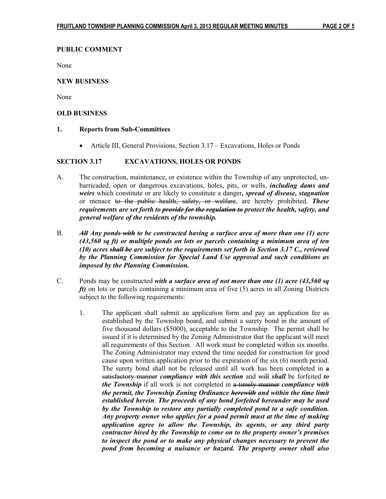## PUBLIC COMMENT

None

### NEW BUSINESS

None

### OLD BUSINESS

### 1. Reports from Sub-Committees

• Article III, General Provisions, Section 3.17 – Excavations, Holes or Ponds

## SECTION 3.17 EXCAVATIONS, HOLES OR PONDS

- A. The construction, maintenance, or existence within the Township of any unprotected, unbarricaded, open or dangerous excavations, holes, pits, or wells, *including dams and* weirs which constitute or are likely to constitute a danger, spread of disease, stagnation or menace to the public health, safety, or welfare, are hereby prohibited. These requirements are set forth to <del>provide for the regulation to</del> protect the health, safety, and general welfare of the residents of the township.
- B. All Any ponds with to be constructed having a surface area of more than one (1) acre (43,560 sq ft) or multiple ponds on lots or parcels containing a minimum area of ten  $(10)$  acres shall be are subject to the requirements set forth in Section 3.17 C., reviewed by the Planning Commission for Special Land Use approval and such conditions as imposed by the Planning Commission.
- C. Ponds may be constructed with a surface area of not more than one (1) acre  $(43,560 \text{ sq})$  $f(t)$  on lots or parcels containing a minimum area of five (5) acres in all Zoning Districts subject to the following requirements:
	- 1. The applicant shall submit an application form and pay an application fee as established by the Township board, and submit a surety bond in the amount of five thousand dollars (\$5000), acceptable to the Township. The permit shall be issued if it is determined by the Zoning Administrator that the applicant will meet all requirements of this Section. All work must be completed within six months. The Zoning Administrator may extend the time needed for construction for good cause upon written application prior to the expiration of the six (6) month period. The surety bond shall not be released until all work has been completed in a satisfactory manner compliance with this section and will shall be forfeited to the Township if all work is not completed in a timely manner compliance with the permit, the Township Zoning Ordinance <del>herewith</del> and within the time limit established herein. The proceeds of any bond forfeited hereunder may be used by the Township to restore any partially completed pond to a safe condition. Any property owner who applies for a pond permit must at the time of making application agree to allow the Township, its agents, or any third party contractor hired by the Township to come on to the property owner's premises to inspect the pond or to make any physical changes necessary to prevent the pond from becoming a nuisance or hazard. The property owner shall also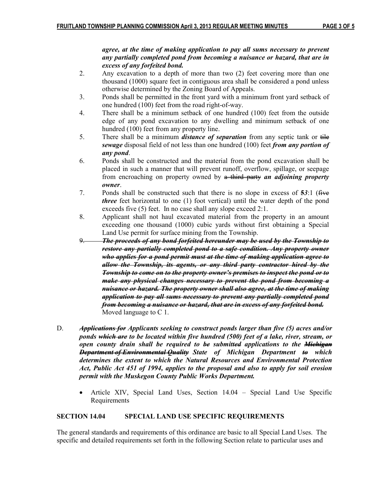## agree, at the time of making application to pay all sums necessary to prevent any partially completed pond from becoming a nuisance or hazard, that are in excess of any forfeited bond.

- 2. Any excavation to a depth of more than two (2) feet covering more than one thousand (1000) square feet in contiguous area shall be considered a pond unless otherwise determined by the Zoning Board of Appeals.
- 3. Ponds shall be permitted in the front yard with a minimum front yard setback of one hundred (100) feet from the road right-of-way.
- 4. There shall be a minimum setback of one hundred (100) feet from the outside edge of any pond excavation to any dwelling and minimum setback of one hundred (100) feet from any property line.
- 5. There shall be a minimum *distance of separation* from any septic tank or  $\frac{d\mathbf{H}}{dt}$ sewage disposal field of not less than one hundred (100) feet from any portion of any pond.
- 6. Ponds shall be constructed and the material from the pond excavation shall be placed in such a manner that will prevent runoff, overflow, spillage, or seepage from encroaching on property owned by  $\frac{a + b + c}{b}$  and *adjoining property* owner.
- 7. Ponds shall be constructed such that there is no slope in excess of  $53:1$  (five three feet horizontal to one (1) foot vertical) until the water depth of the pond exceeds five (5) feet. In no case shall any slope exceed 2:1.
- 8. Applicant shall not haul excavated material from the property in an amount exceeding one thousand (1000) cubic yards without first obtaining a Special Land Use permit for surface mining from the Township.
- 9. The proceeds of any bond forfeited hereunder may be used by the Township to restore any partially completed pond to a safe condition. Any property owner who applies for a pond permit must at the time of making application agree to allow the Township, its agents, or any third party contractor hired by the Township to come on to the property owner's premises to inspect the pond or to make any physical changes necessary to prevent the pond from becoming a nuisance or hazard. The property owner shall also agree, at the time of making application to pay all sums necessary to prevent any partially completed pond from becoming a nuisance or hazard, that are in excess of any forfeited bond. Moved language to C 1.
- D. Applications for Applicants seeking to construct ponds larger than five (5) acres and/or ponds which are to be located within five hundred (500) feet of a lake, river, stream, or open county drain shall be required to be submitted applications to the **Michigan Department of Environmental Quality** State of Michigan Department to which determines the extent to which the Natural Resources and Environmental Protection Act, Public Act 451 of 1994, applies to the proposal and also to apply for soil erosion permit with the Muskegon County Public Works Department.
	- Article XIV, Special Land Uses, Section 14.04 Special Land Use Specific Requirements

# SECTION 14.04 SPECIAL LAND USE SPECIFIC REQUIREMENTS

The general standards and requirements of this ordinance are basic to all Special Land Uses. The specific and detailed requirements set forth in the following Section relate to particular uses and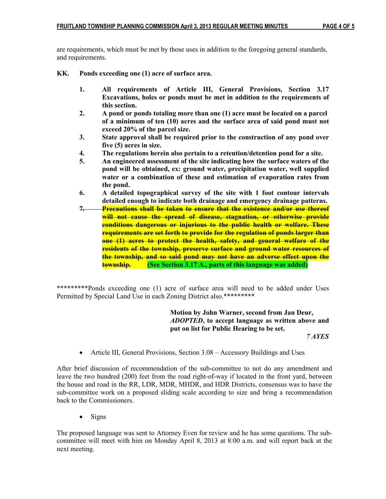are requirements, which must be met by those uses in addition to the foregoing general standards, and requirements.

- KK. Ponds exceeding one (1) acre of surface area.
	- 1. All requirements of Article III, General Provisions, Section 3.17 Excavations, holes or ponds must be met in addition to the requirements of this section.
	- 2. A pond or ponds totaling more than one (1) acre must be located on a parcel of a minimum of ten (10) acres and the surface area of said pond must not exceed 20% of the parcel size.
	- 3. State approval shall be required prior to the construction of any pond over five (5) acres in size.
	- 4. The regulations herein also pertain to a retention/detention pond for a site.
	- 5. An engineered assessment of the site indicating how the surface waters of the pond will be obtained, ex: ground water, precipitation water, well supplied water or a combination of these and estimation of evaporation rates from the pond.
	- 6. A detailed topographical survey of the site with 1 foot contour intervals detailed enough to indicate both drainage and emergency drainage patterns.
	- 7. Precautions shall be taken to ensure that the existence and/or use thereof will not cause the spread of disease, stagnation, or otherwise provide conditions dangerous or injurious to the public health or welfare. These requirements are set forth to provide for the regulation of ponds larger than one (1) acres to protect the health, safety, and general welfare of the residents of the township, preserve surface and ground water resources of the township, and so said pond may not have an adverse effect upon the township. (See Section 3.17 A., parts of this language was added)

\*\*\*\*\*\*\*\*\*Ponds exceeding one (1) acre of surface area will need to be added under Uses Permitted by Special Land Use in each Zoning District also.\*\*\*\*\*\*\*\*\*

> Motion by John Warner, second from Jan Deur, ADOPTED, to accept language as written above and put on list for Public Hearing to be set.

> > 7 AYES

• Article III, General Provisions, Section 3.08 – Accessory Buildings and Uses

After brief discussion of recommendation of the sub-committee to not do any amendment and leave the two hundred (200) feet from the road right-of-way if located in the front yard, between the house and road in the RR, LDR, MDR, MHDR, and HDR Districts, consensus was to have the sub-committee work on a proposed sliding scale according to size and bring a recommendation back to the Commissioners.

• Signs

The proposed language was sent to Attorney Even for review and he has some questions. The subcommittee will meet with him on Monday April 8, 2013 at 8:00 a.m. and will report back at the next meeting.